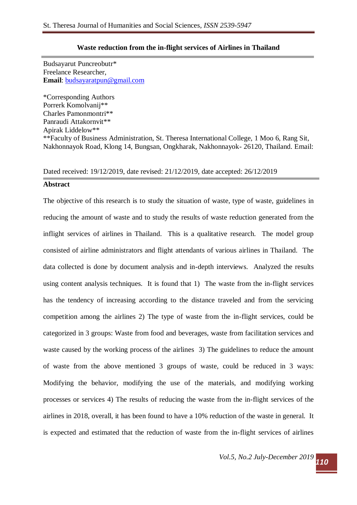## **Waste reduction from the in-flight services of Airlines in Thailand**

Budsayarut Puncreobutr\* Freelance Researcher, **Email**: [budsayaratpun@gmail.com](mailto:budsayaratpun@gmail.com)

\*Corresponding Authors Porrerk Komolvanij\*\* Charles Pamonmontri\*\* Panraudi Attakornvit\*\* Apirak Liddelow\*\* \*\*Faculty of Business Administration, St. Theresa International College, 1 Moo 6, Rang Sit, Nakhonnayok Road, Klong 14, Bungsan, Ongkharak, Nakhonnayok- 26120, Thailand. Email:

## Dated received: 19/12/2019, date revised: 21/12/2019, date accepted: 26/12/2019

#### **Abstract**

The objective of this research is to study the situation of waste, type of waste, guidelines in reducing the amount of waste and to study the results of waste reduction generated from the inflight services of airlines in Thailand. This is a qualitative research. The model group consisted of airline administrators and flight attendants of various airlines in Thailand. The data collected is done by document analysis and in-depth interviews. Analyzed the results using content analysis techniques. It is found that 1) The waste from the in-flight services has the tendency of increasing according to the distance traveled and from the servicing competition among the airlines 2) The type of waste from the in-flight services, could be categorized in 3 groups: Waste from food and beverages, waste from facilitation services and waste caused by the working process of the airlines 3) The guidelines to reduce the amount of waste from the above mentioned 3 groups of waste, could be reduced in 3 ways: Modifying the behavior, modifying the use of the materials, and modifying working processes or services 4) The results of reducing the waste from the in-flight services of the airlines in 2018, overall, it has been found to have a 10% reduction of the waste in general. It is expected and estimated that the reduction of waste from the in-flight services of airlines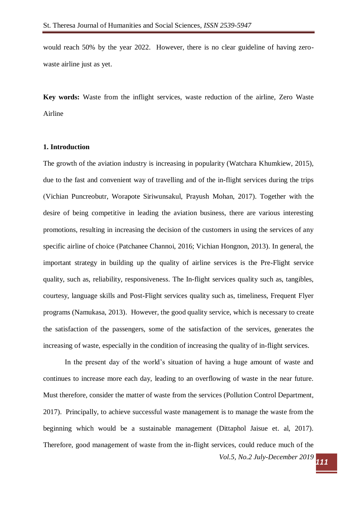would reach 50% by the year 2022. However, there is no clear guideline of having zerowaste airline just as yet.

**Key words:** Waste from the inflight services, waste reduction of the airline, Zero Waste Airline

## **1. Introduction**

The growth of the aviation industry is increasing in popularity (Watchara Khumkiew, 2015), due to the fast and convenient way of travelling and of the in-flight services during the trips (Vichian Puncreobutr, Worapote Siriwunsakul, Prayush Mohan, 2017). Together with the desire of being competitive in leading the aviation business, there are various interesting promotions, resulting in increasing the decision of the customers in using the services of any specific airline of choice (Patchanee Channoi, 2016; Vichian Hongnon, 2013). In general, the important strategy in building up the quality of airline services is the Pre-Flight service quality, such as, reliability, responsiveness. The In-flight services quality such as, tangibles, courtesy, language skills and Post-Flight services quality such as, timeliness, Frequent Flyer programs (Namukasa, 2013). However, the good quality service, which is necessary to create the satisfaction of the passengers, some of the satisfaction of the services, generates the increasing of waste, especially in the condition of increasing the quality of in-flight services.

*Vol.5, No.2 July-December 2019 <sup>111</sup>* In the present day of the world's situation of having a huge amount of waste and continues to increase more each day, leading to an overflowing of waste in the near future. Must therefore, consider the matter of waste from the services (Pollution Control Department, 2017). Principally, to achieve successful waste management is to manage the waste from the beginning which would be a sustainable management (Dittaphol Jaisue et. al, 2017). Therefore, good management of waste from the in-flight services, could reduce much of the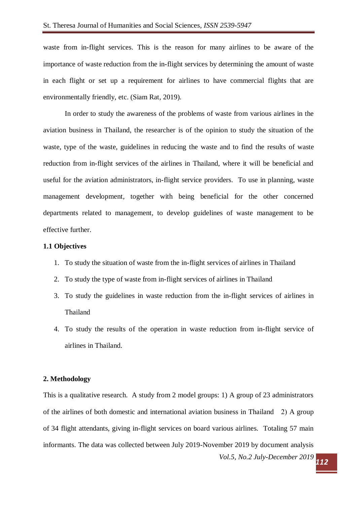waste from in-flight services. This is the reason for many airlines to be aware of the importance of waste reduction from the in-flight services by determining the amount of waste in each flight or set up a requirement for airlines to have commercial flights that are environmentally friendly, etc. (Siam Rat, 2019).

In order to study the awareness of the problems of waste from various airlines in the aviation business in Thailand, the researcher is of the opinion to study the situation of the waste, type of the waste, guidelines in reducing the waste and to find the results of waste reduction from in-flight services of the airlines in Thailand, where it will be beneficial and useful for the aviation administrators, in-flight service providers. To use in planning, waste management development, together with being beneficial for the other concerned departments related to management, to develop guidelines of waste management to be effective further.

## **1.1 Objectives**

- 1. To study the situation of waste from the in-flight services of airlines in Thailand
- 2. To study the type of waste from in-flight services of airlines in Thailand
- 3. To study the guidelines in waste reduction from the in-flight services of airlines in Thailand
- 4. To study the results of the operation in waste reduction from in-flight service of airlines in Thailand.

## **2. Methodology**

This is a qualitative research. A study from 2 model groups: 1) A group of 23 administrators of the airlines of both domestic and international aviation business in Thailand 2) A group of 34 flight attendants, giving in-flight services on board various airlines. Totaling 57 main informants. The data was collected between July 2019-November 2019 by document analysis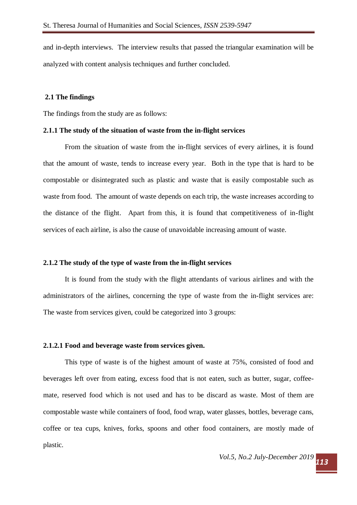and in-depth interviews. The interview results that passed the triangular examination will be analyzed with content analysis techniques and further concluded.

## **2.1 The findings**

The findings from the study are as follows:

### **2.1.1 The study of the situation of waste from the in-flight services**

From the situation of waste from the in-flight services of every airlines, it is found that the amount of waste, tends to increase every year. Both in the type that is hard to be compostable or disintegrated such as plastic and waste that is easily compostable such as waste from food. The amount of waste depends on each trip, the waste increases according to the distance of the flight. Apart from this, it is found that competitiveness of in-flight services of each airline, is also the cause of unavoidable increasing amount of waste.

#### **2.1.2 The study of the type of waste from the in-flight services**

It is found from the study with the flight attendants of various airlines and with the administrators of the airlines, concerning the type of waste from the in-flight services are: The waste from services given, could be categorized into 3 groups:

#### **2.1.2.1 Food and beverage waste from services given.**

This type of waste is of the highest amount of waste at 75%, consisted of food and beverages left over from eating, excess food that is not eaten, such as butter, sugar, coffeemate, reserved food which is not used and has to be discard as waste. Most of them are compostable waste while containers of food, food wrap, water glasses, bottles, beverage cans, coffee or tea cups, knives, forks, spoons and other food containers, are mostly made of plastic.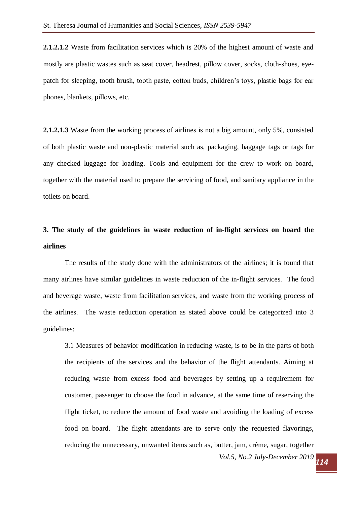**2.1.2.1.2** Waste from facilitation services which is 20% of the highest amount of waste and mostly are plastic wastes such as seat cover, headrest, pillow cover, socks, cloth-shoes, eyepatch for sleeping, tooth brush, tooth paste, cotton buds, children's toys, plastic bags for ear phones, blankets, pillows, etc.

**2.1.2.1.3** Waste from the working process of airlines is not a big amount, only 5%, consisted of both plastic waste and non-plastic material such as, packaging, baggage tags or tags for any checked luggage for loading. Tools and equipment for the crew to work on board, together with the material used to prepare the servicing of food, and sanitary appliance in the toilets on board.

# **3. The study of the guidelines in waste reduction of in-flight services on board the airlines**

The results of the study done with the administrators of the airlines; it is found that many airlines have similar guidelines in waste reduction of the in-flight services. The food and beverage waste, waste from facilitation services, and waste from the working process of the airlines. The waste reduction operation as stated above could be categorized into 3 guidelines:

*Vol.5, No.2 July-December 2019 <sup>114</sup>* 3.1 Measures of behavior modification in reducing waste, is to be in the parts of both the recipients of the services and the behavior of the flight attendants. Aiming at reducing waste from excess food and beverages by setting up a requirement for customer, passenger to choose the food in advance, at the same time of reserving the flight ticket, to reduce the amount of food waste and avoiding the loading of excess food on board. The flight attendants are to serve only the requested flavorings, reducing the unnecessary, unwanted items such as, butter, jam, crème, sugar, together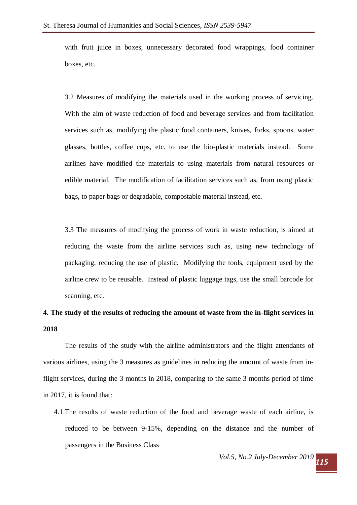with fruit juice in boxes, unnecessary decorated food wrappings, food container boxes, etc.

3.2 Measures of modifying the materials used in the working process of servicing. With the aim of waste reduction of food and beverage services and from facilitation services such as, modifying the plastic food containers, knives, forks, spoons, water glasses, bottles, coffee cups, etc. to use the bio-plastic materials instead. Some airlines have modified the materials to using materials from natural resources or edible material. The modification of facilitation services such as, from using plastic bags, to paper bags or degradable, compostable material instead, etc.

3.3 The measures of modifying the process of work in waste reduction, is aimed at reducing the waste from the airline services such as, using new technology of packaging, reducing the use of plastic. Modifying the tools, equipment used by the airline crew to be reusable. Instead of plastic luggage tags, use the small barcode for scanning, etc.

## **4. The study of the results of reducing the amount of waste from the in-flight services in 2018**

The results of the study with the airline administrators and the flight attendants of various airlines, using the 3 measures as guidelines in reducing the amount of waste from inflight services, during the 3 months in 2018, comparing to the same 3 months period of time in 2017, it is found that:

4.1 The results of waste reduction of the food and beverage waste of each airline, is reduced to be between 9-15%, depending on the distance and the number of passengers in the Business Class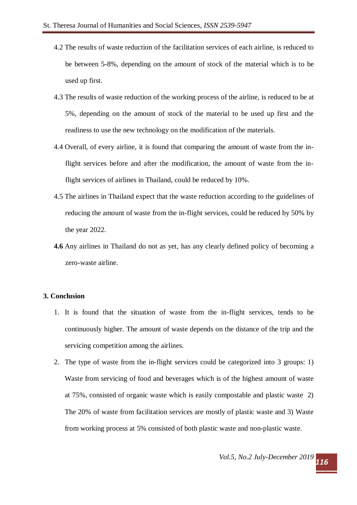- 4.2 The results of waste reduction of the facilitation services of each airline, is reduced to be between 5-8%, depending on the amount of stock of the material which is to be used up first.
- 4.3 The results of waste reduction of the working process of the airline, is reduced to be at 5%, depending on the amount of stock of the material to be used up first and the readiness to use the new technology on the modification of the materials.
- 4.4 Overall, of every airline, it is found that comparing the amount of waste from the inflight services before and after the modification, the amount of waste from the inflight services of airlines in Thailand, could be reduced by 10%.
- 4.5 The airlines in Thailand expect that the waste reduction according to the guidelines of reducing the amount of waste from the in-flight services, could be reduced by 50% by the year 2022.
- **4.6** Any airlines in Thailand do not as yet, has any clearly defined policy of becoming a zero-waste airline.

## **3. Conclusion**

- 1. It is found that the situation of waste from the in-flight services, tends to be continuously higher. The amount of waste depends on the distance of the trip and the servicing competition among the airlines.
- 2. The type of waste from the in-flight services could be categorized into 3 groups: 1) Waste from servicing of food and beverages which is of the highest amount of waste at 75%, consisted of organic waste which is easily compostable and plastic waste 2) The 20% of waste from facilitation services are mostly of plastic waste and 3) Waste from working process at 5% consisted of both plastic waste and non-plastic waste.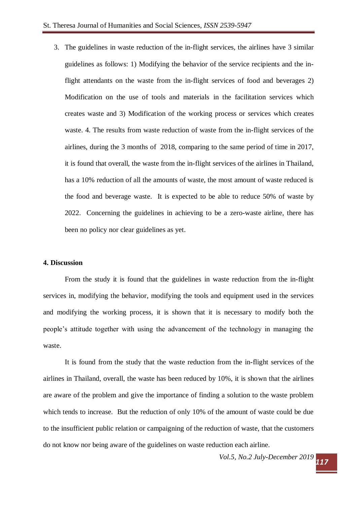3. The guidelines in waste reduction of the in-flight services, the airlines have 3 similar guidelines as follows: 1) Modifying the behavior of the service recipients and the inflight attendants on the waste from the in-flight services of food and beverages 2) Modification on the use of tools and materials in the facilitation services which creates waste and 3) Modification of the working process or services which creates waste. 4. The results from waste reduction of waste from the in-flight services of the airlines, during the 3 months of 2018, comparing to the same period of time in 2017, it is found that overall, the waste from the in-flight services of the airlines in Thailand, has a 10% reduction of all the amounts of waste, the most amount of waste reduced is the food and beverage waste. It is expected to be able to reduce 50% of waste by 2022. Concerning the guidelines in achieving to be a zero-waste airline, there has been no policy nor clear guidelines as yet.

#### **4. Discussion**

From the study it is found that the guidelines in waste reduction from the in-flight services in, modifying the behavior, modifying the tools and equipment used in the services and modifying the working process, it is shown that it is necessary to modify both the people's attitude together with using the advancement of the technology in managing the waste.

It is found from the study that the waste reduction from the in-flight services of the airlines in Thailand, overall, the waste has been reduced by 10%, it is shown that the airlines are aware of the problem and give the importance of finding a solution to the waste problem which tends to increase. But the reduction of only 10% of the amount of waste could be due to the insufficient public relation or campaigning of the reduction of waste, that the customers do not know nor being aware of the guidelines on waste reduction each airline.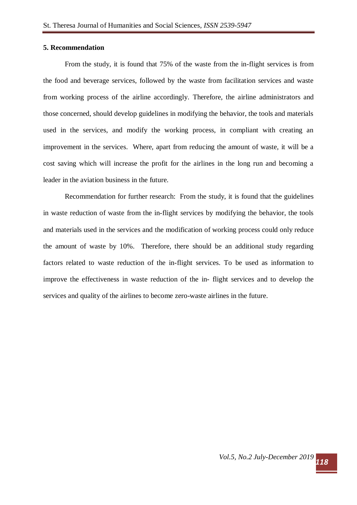## **5. Recommendation**

From the study, it is found that 75% of the waste from the in-flight services is from the food and beverage services, followed by the waste from facilitation services and waste from working process of the airline accordingly. Therefore, the airline administrators and those concerned, should develop guidelines in modifying the behavior, the tools and materials used in the services, and modify the working process, in compliant with creating an improvement in the services. Where, apart from reducing the amount of waste, it will be a cost saving which will increase the profit for the airlines in the long run and becoming a leader in the aviation business in the future.

Recommendation for further research: From the study, it is found that the guidelines in waste reduction of waste from the in-flight services by modifying the behavior, the tools and materials used in the services and the modification of working process could only reduce the amount of waste by 10%. Therefore, there should be an additional study regarding factors related to waste reduction of the in-flight services. To be used as information to improve the effectiveness in waste reduction of the in- flight services and to develop the services and quality of the airlines to become zero-waste airlines in the future.